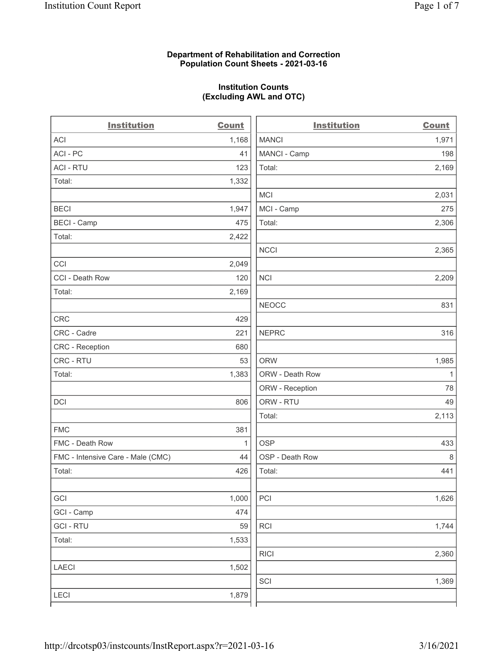# Department of Rehabilitation and Correction Population Count Sheets - 2021-03-16

# Institution Counts (Excluding AWL and OTC)

| <b>Institution</b>                | <b>Count</b> | <b>Institution</b> | <b>Count</b> |
|-----------------------------------|--------------|--------------------|--------------|
| ACI                               | 1,168        | <b>MANCI</b>       | 1,971        |
| ACI-PC                            | 41           | MANCI - Camp       | 198          |
| <b>ACI - RTU</b>                  | 123          | Total:             | 2,169        |
| Total:                            | 1,332        |                    |              |
|                                   |              | <b>MCI</b>         | 2,031        |
| <b>BECI</b>                       | 1,947        | MCI - Camp         | 275          |
| <b>BECI - Camp</b>                | 475          | Total:             | 2,306        |
| Total:                            | 2,422        |                    |              |
|                                   |              | <b>NCCI</b>        | 2,365        |
| CCI                               | 2,049        |                    |              |
| CCI - Death Row                   | 120          | NCI                | 2,209        |
| Total:                            | 2,169        |                    |              |
|                                   |              | <b>NEOCC</b>       | 831          |
| <b>CRC</b>                        | 429          |                    |              |
| CRC - Cadre                       | 221          | <b>NEPRC</b>       | 316          |
| CRC - Reception                   | 680          |                    |              |
| CRC - RTU                         | 53           | <b>ORW</b>         | 1,985        |
| Total:                            | 1,383        | ORW - Death Row    | 1            |
|                                   |              | ORW - Reception    | 78           |
| DCI                               | 806          | ORW - RTU          | 49           |
|                                   |              | Total:             | 2,113        |
| <b>FMC</b>                        | 381          |                    |              |
| FMC - Death Row                   | 1            | <b>OSP</b>         | 433          |
| FMC - Intensive Care - Male (CMC) | 44           | OSP - Death Row    | 8            |
| Total:                            | 426          | Total:             | 441          |
|                                   |              |                    |              |
| GCI                               | 1,000        | PCI                | 1,626        |
| GCI - Camp                        | 474          |                    |              |
| <b>GCI-RTU</b>                    | 59           | RCI                | 1,744        |
| Total:                            | 1,533        |                    |              |
|                                   |              | <b>RICI</b>        | 2,360        |
| <b>LAECI</b>                      | 1,502        |                    |              |
|                                   |              | SCI                | 1,369        |
| <b>LECI</b>                       | 1,879        |                    |              |
|                                   |              |                    |              |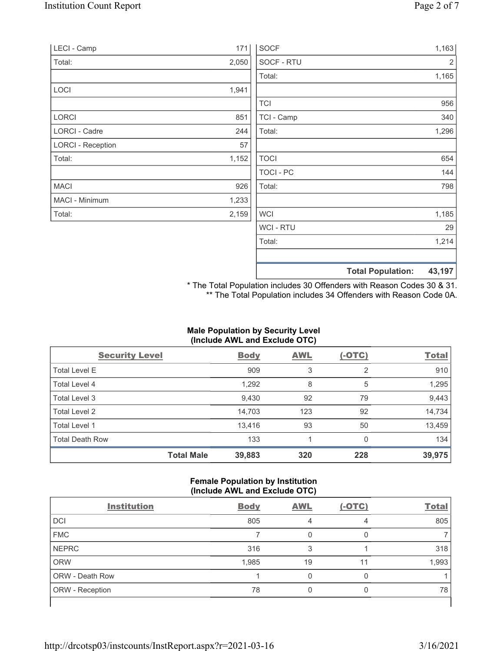| LECI - Camp              | 171   | <b>SOCF</b>    | 1,163                              |
|--------------------------|-------|----------------|------------------------------------|
| Total:                   | 2,050 | SOCF - RTU     | $\overline{2}$                     |
|                          |       | Total:         | 1,165                              |
| LOCI                     | 1,941 |                |                                    |
|                          |       | <b>TCI</b>     | 956                                |
| LORCI                    | 851   | TCI - Camp     | 340                                |
| LORCI - Cadre            | 244   | Total:         | 1,296                              |
| <b>LORCI - Reception</b> | 57    |                |                                    |
| Total:                   | 1,152 | <b>TOCI</b>    | 654                                |
|                          |       | TOCI - PC      | 144                                |
| <b>MACI</b>              | 926   | Total:         | 798                                |
| MACI - Minimum           | 1,233 |                |                                    |
| Total:                   | 2,159 | <b>WCI</b>     | 1,185                              |
|                          |       | <b>WCI-RTU</b> | 29                                 |
|                          |       | Total:         | 1,214                              |
|                          |       |                | 43,197<br><b>Total Population:</b> |

\* The Total Population includes 30 Offenders with Reason Codes 30 & 31. \*\* The Total Population includes 34 Offenders with Reason Code 0A.

# Male Population by Security Level (Include AWL and Exclude OTC)

| <b>Security Level</b>  |                   | <b>Body</b> | <b>AWL</b> | $(-OTC)$ | <b>Total</b> |
|------------------------|-------------------|-------------|------------|----------|--------------|
| <b>Total Level E</b>   |                   | 909         | 3          | 2        | 910          |
| Total Level 4          |                   | 1,292       | 8          | 5        | 1,295        |
| Total Level 3          |                   | 9,430       | 92         | 79       | 9,443        |
| Total Level 2          |                   | 14,703      | 123        | 92       | 14,734       |
| Total Level 1          |                   | 13,416      | 93         | 50       | 13,459       |
| <b>Total Death Row</b> |                   | 133         |            | 0        | 134          |
|                        | <b>Total Male</b> | 39,883      | 320        | 228      | 39,975       |

# Female Population by Institution (Include AWL and Exclude OTC)

| <b>Body</b> | <b>AWL</b> | $(-OTC)$ | <b>Total</b> |
|-------------|------------|----------|--------------|
| 805         |            | 4        | 805          |
|             |            |          |              |
| 316         |            |          | 318          |
| 1,985       | 19         | 11       | 1,993        |
|             |            |          |              |
| 78          |            |          | 78           |
|             |            |          |              |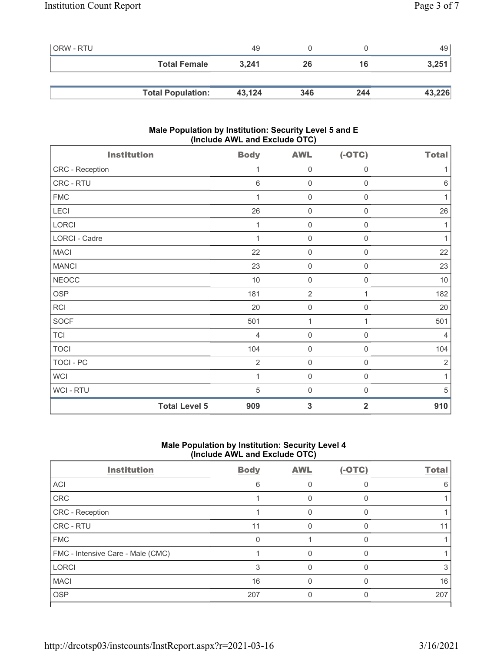| ORW - RTU |                          | 49     |     |     | 49 l   |
|-----------|--------------------------|--------|-----|-----|--------|
|           | <b>Total Female</b>      | 3.241  | 26  | 16  | 3,251  |
|           |                          |        |     |     |        |
|           | <b>Total Population:</b> | 43,124 | 346 | 244 | 43,226 |

# Male Population by Institution: Security Level 5 and E (Include AWL and Exclude OTC)

| <b>Institution</b> |                      | <b>Body</b>    | <b>AWL</b>          | $(-OTC)$            | <b>Total</b>   |
|--------------------|----------------------|----------------|---------------------|---------------------|----------------|
| CRC - Reception    |                      | 1              | $\mathbf 0$         | $\boldsymbol{0}$    | 1              |
| CRC - RTU          |                      | $\,6$          | $\mathbf 0$         | $\mathbf 0$         | $\,6\,$        |
| <b>FMC</b>         |                      | 1              | $\mathbf 0$         | $\mathbf 0$         | 1              |
| LECI               |                      | 26             | $\mathbf 0$         | $\boldsymbol{0}$    | 26             |
| LORCI              |                      | 1              | $\mathsf{O}\xspace$ | $\mathsf{O}\xspace$ | 1              |
| LORCI - Cadre      |                      | 1              | $\mathsf{O}\xspace$ | $\mathsf{O}\xspace$ | 1              |
| <b>MACI</b>        |                      | 22             | $\mathsf{O}\xspace$ | $\boldsymbol{0}$    | 22             |
| <b>MANCI</b>       |                      | 23             | $\mathsf{O}\xspace$ | $\boldsymbol{0}$    | 23             |
| <b>NEOCC</b>       |                      | $10$           | $\mathsf{O}\xspace$ | $\boldsymbol{0}$    | $10$           |
| <b>OSP</b>         |                      | 181            | $\overline{2}$      | 1                   | 182            |
| <b>RCI</b>         |                      | 20             | $\mathbf 0$         | 0                   | 20             |
| SOCF               |                      | 501            | 1                   | 1                   | 501            |
| <b>TCI</b>         |                      | $\overline{4}$ | $\mathsf{O}\xspace$ | $\mathbf 0$         | $\overline{4}$ |
| <b>TOCI</b>        |                      | 104            | $\mathsf{O}\xspace$ | $\boldsymbol{0}$    | 104            |
| TOCI - PC          |                      | $\overline{2}$ | $\mathsf{O}\xspace$ | $\boldsymbol{0}$    | $\overline{2}$ |
| <b>WCI</b>         |                      | 1              | $\mathsf{O}\xspace$ | $\boldsymbol{0}$    | 1              |
| WCI - RTU          |                      | 5              | $\mathbf 0$         | 0                   | 5              |
|                    | <b>Total Level 5</b> | 909            | $\mathbf{3}$        | $\overline{2}$      | 910            |

# Male Population by Institution: Security Level 4 (Include AWL and Exclude OTC)

| <b>Institution</b>                | <b>Body</b> | <b>AWL</b> | $(-OTC)$ | <b>Total</b> |
|-----------------------------------|-------------|------------|----------|--------------|
| ACI                               | 6           |            |          | 6            |
| CRC                               |             |            |          |              |
| CRC - Reception                   |             |            |          |              |
| <b>CRC - RTU</b>                  | 11          |            |          |              |
| <b>FMC</b>                        | 0           |            | ∩        |              |
| FMC - Intensive Care - Male (CMC) |             |            |          |              |
| <b>LORCI</b>                      | 3           |            | n        |              |
| <b>MACI</b>                       | 16          |            |          | 16           |
| <b>OSP</b>                        | 207         |            |          | 207          |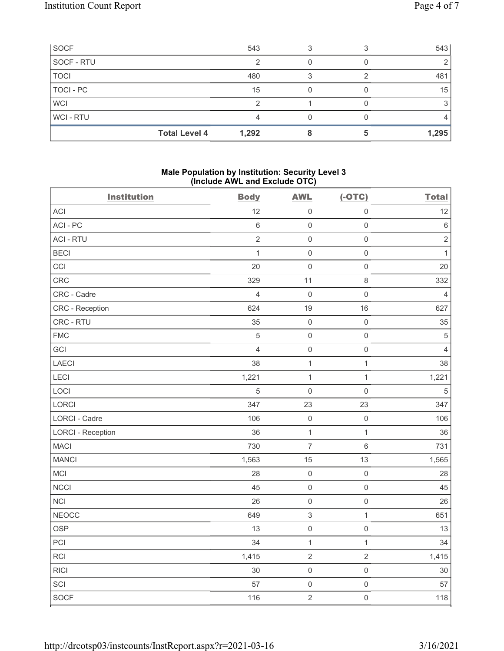| SOCF                 | 543   |  | 543   |
|----------------------|-------|--|-------|
| SOCF - RTU           |       |  |       |
| <b>TOCI</b>          | 480   |  | 481   |
| TOCI - PC            | 15    |  | 15    |
| <b>WCI</b>           |       |  |       |
| <b>WCI-RTU</b>       |       |  |       |
| <b>Total Level 4</b> | 1,292 |  | 1,295 |

# Male Population by Institution: Security Level 3 (Include AWL and Exclude OTC)

| <b>Institution</b>       | <b>Body</b>    | <b>AWL</b>                | $(-OTC)$            | <b>Total</b>   |
|--------------------------|----------------|---------------------------|---------------------|----------------|
| ACI                      | 12             | $\mathsf 0$               | $\mathsf 0$         | 12             |
| ACI - PC                 | $\,6\,$        | $\mathsf{O}\xspace$       | $\mathsf{O}\xspace$ | $\,6\,$        |
| <b>ACI - RTU</b>         | $\sqrt{2}$     | $\mathsf{O}\xspace$       | $\mathsf{O}\xspace$ | $\sqrt{2}$     |
| <b>BECI</b>              | $\mathbf{1}$   | $\mathbf 0$               | $\mathsf{O}\xspace$ | $\mathbf{1}$   |
| CCI                      | 20             | $\mathbf 0$               | $\mathsf{O}\xspace$ | 20             |
| CRC                      | 329            | 11                        | $\,8\,$             | 332            |
| CRC - Cadre              | $\overline{4}$ | $\mathbf 0$               | $\mathsf{O}\xspace$ | $\overline{4}$ |
| CRC - Reception          | 624            | 19                        | 16                  | 627            |
| CRC - RTU                | 35             | $\mathbf 0$               | $\mathsf 0$         | 35             |
| <b>FMC</b>               | $\sqrt{5}$     | $\mathbf 0$               | $\mathsf{O}\xspace$ | $\mathbf 5$    |
| GCI                      | $\overline{4}$ | $\mathbf 0$               | $\mathsf{O}\xspace$ | $\overline{4}$ |
| LAECI                    | 38             | $\mathbf{1}$              | $\mathbf{1}$        | 38             |
| LECI                     | 1,221          | $\mathbf{1}$              | $\mathbf{1}$        | 1,221          |
| LOCI                     | 5              | $\mathbf 0$               | $\mathsf{O}\xspace$ | $\sqrt{5}$     |
| LORCI                    | 347            | 23                        | 23                  | 347            |
| LORCI - Cadre            | 106            | $\mathbf 0$               | $\mathsf{O}\xspace$ | 106            |
| <b>LORCI - Reception</b> | 36             | $\mathbf{1}$              | $\mathbf{1}$        | 36             |
| <b>MACI</b>              | 730            | $\overline{7}$            | $\,6\,$             | 731            |
| <b>MANCI</b>             | 1,563          | 15                        | 13                  | 1,565          |
| MCI                      | 28             | $\mathbf 0$               | $\mathsf{O}\xspace$ | 28             |
| <b>NCCI</b>              | 45             | $\mathbf 0$               | $\mathsf 0$         | 45             |
| <b>NCI</b>               | 26             | $\mathbf 0$               | $\mathsf 0$         | 26             |
| <b>NEOCC</b>             | 649            | $\ensuremath{\mathsf{3}}$ | $\mathbf{1}$        | 651            |
| <b>OSP</b>               | 13             | $\mathsf 0$               | $\mathsf 0$         | 13             |
| PCI                      | 34             | $\mathbf{1}$              | $\mathbf{1}$        | 34             |
| <b>RCI</b>               | 1,415          | $\mathbf 2$               | $\overline{2}$      | 1,415          |
| <b>RICI</b>              | 30             | $\mathsf 0$               | $\mathsf 0$         | $30\,$         |
| SCI                      | 57             | $\mathsf 0$               | $\mathsf 0$         | 57             |
| <b>SOCF</b>              | 116            | $\overline{2}$            | $\mathbf 0$         | 118            |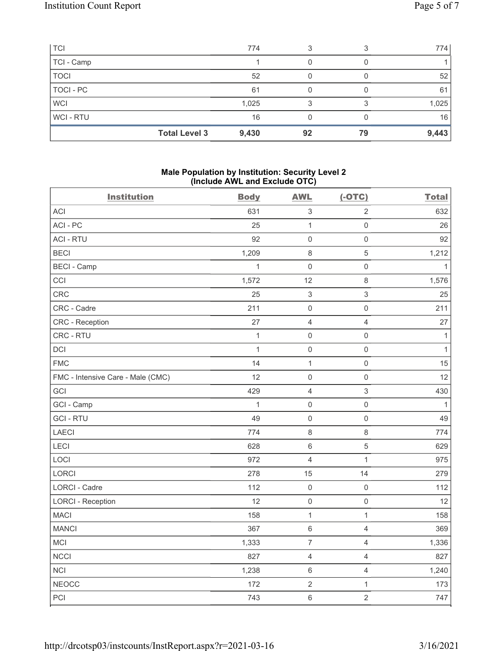| <b>TCI</b>  | 774                           |    |    | 774   |
|-------------|-------------------------------|----|----|-------|
| TCI - Camp  |                               |    |    |       |
| <b>TOCI</b> | 52                            |    |    | 52    |
| TOCI - PC   | 61                            |    |    | 61    |
| <b>WCI</b>  | 1,025                         |    |    | 1,025 |
| WCI-RTU     | 16                            |    |    | 16    |
|             | <b>Total Level 3</b><br>9,430 | 92 | 79 | 9,443 |

#### Male Population by Institution: Security Level 2 (Include AWL and Exclude OTC)

| <b>Institution</b>                | <b>Body</b>  | <b>AWL</b>                | $(-OTC)$            | <b>Total</b> |
|-----------------------------------|--------------|---------------------------|---------------------|--------------|
| <b>ACI</b>                        | 631          | $\ensuremath{\mathsf{3}}$ | $\overline{2}$      | 632          |
| ACI-PC                            | 25           | $\mathbf{1}$              | $\mathsf{O}\xspace$ | 26           |
| <b>ACI - RTU</b>                  | 92           | $\mathsf{O}\xspace$       | $\mathsf{O}\xspace$ | 92           |
| <b>BECI</b>                       | 1,209        | $\,8\,$                   | 5                   | 1,212        |
| <b>BECI - Camp</b>                | $\mathbf{1}$ | $\mathsf 0$               | $\mathsf{O}\xspace$ | $\mathbf{1}$ |
| CCI                               | 1,572        | 12                        | 8                   | 1,576        |
| CRC                               | 25           | $\,$ 3 $\,$               | $\sqrt{3}$          | 25           |
| CRC - Cadre                       | 211          | $\mathsf{O}\xspace$       | $\mathsf{O}\xspace$ | 211          |
| <b>CRC</b> - Reception            | 27           | $\sqrt{4}$                | $\overline{4}$      | 27           |
| CRC - RTU                         | $\mathbf{1}$ | $\mathsf 0$               | $\mathsf 0$         | $\mathbf{1}$ |
| DCI                               | $\mathbf{1}$ | $\mathsf{O}\xspace$       | $\mathsf{O}\xspace$ | $\mathbf{1}$ |
| <b>FMC</b>                        | 14           | $\mathbf{1}$              | $\mathsf{O}\xspace$ | 15           |
| FMC - Intensive Care - Male (CMC) | 12           | $\mathsf 0$               | $\mathsf{O}\xspace$ | 12           |
| GCI                               | 429          | $\sqrt{4}$                | $\sqrt{3}$          | 430          |
| GCI - Camp                        | $\mathbf{1}$ | $\mathsf{O}\xspace$       | $\mathsf{O}\xspace$ | $\mathbf{1}$ |
| <b>GCI-RTU</b>                    | 49           | $\mathsf 0$               | $\mathsf 0$         | 49           |
| <b>LAECI</b>                      | 774          | $\,8\,$                   | $\,8\,$             | 774          |
| LECI                              | 628          | $\,6\,$                   | $\sqrt{5}$          | 629          |
| LOCI                              | 972          | $\overline{4}$            | $\mathbf{1}$        | 975          |
| LORCI                             | 278          | 15                        | 14                  | 279          |
| LORCI - Cadre                     | 112          | $\mathsf 0$               | $\mathsf 0$         | 112          |
| <b>LORCI - Reception</b>          | 12           | $\mathsf{O}\xspace$       | $\mathsf{O}\xspace$ | 12           |
| <b>MACI</b>                       | 158          | $\mathbf{1}$              | $\mathbf{1}$        | 158          |
| <b>MANCI</b>                      | 367          | $\,6\,$                   | $\overline{4}$      | 369          |
| MCI                               | 1,333        | $\overline{7}$            | $\overline{4}$      | 1,336        |
| <b>NCCI</b>                       | 827          | $\overline{4}$            | $\overline{4}$      | 827          |
| <b>NCI</b>                        | 1,238        | $\,6\,$                   | $\overline{4}$      | 1,240        |
| <b>NEOCC</b>                      | 172          | $\sqrt{2}$                | $\mathbf{1}$        | 173          |
| PCI                               | 743          | $\,6\,$                   | $\overline{2}$      | 747          |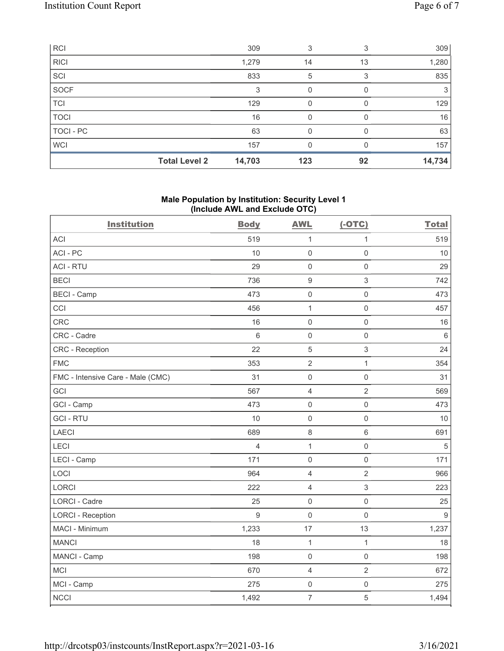| <b>RCI</b>  |                      | 309    | 3   |    | 309    |
|-------------|----------------------|--------|-----|----|--------|
| <b>RICI</b> |                      | 1,279  | 14  | 13 | 1,280  |
| SCI         |                      | 833    | 5   | 3  | 835    |
| SOCF        |                      | 3      | 0   |    | 3      |
| <b>TCI</b>  |                      | 129    | 0   |    | 129    |
| <b>TOCI</b> |                      | 16     | O   |    | 16     |
| TOCI - PC   |                      | 63     | O   |    | 63     |
| <b>WCI</b>  |                      | 157    |     |    | 157    |
|             | <b>Total Level 2</b> | 14,703 | 123 | 92 | 14,734 |

### Male Population by Institution: Security Level 1 (Include AWL and Exclude OTC)

| <b>Institution</b>                | <b>Body</b>    | <b>AWL</b>       | $(-OTC)$            | <b>Total</b> |
|-----------------------------------|----------------|------------------|---------------------|--------------|
| <b>ACI</b>                        | 519            | $\mathbf{1}$     | $\mathbf{1}$        | 519          |
| ACI-PC                            | 10             | $\mathbf 0$      | $\mathsf 0$         | 10           |
| <b>ACI - RTU</b>                  | 29             | $\mathbf 0$      | $\mathsf 0$         | 29           |
| <b>BECI</b>                       | 736            | $\boldsymbol{9}$ | $\sqrt{3}$          | 742          |
| <b>BECI - Camp</b>                | 473            | $\mathbf 0$      | $\mathsf 0$         | 473          |
| CCI                               | 456            | 1                | $\mathsf{O}\xspace$ | 457          |
| CRC                               | 16             | $\mathbf 0$      | $\mathsf{O}\xspace$ | 16           |
| CRC - Cadre                       | 6              | $\mathbf 0$      | $\mathsf{O}\xspace$ | $\,6\,$      |
| CRC - Reception                   | 22             | 5                | $\sqrt{3}$          | 24           |
| <b>FMC</b>                        | 353            | $\sqrt{2}$       | $\mathbf{1}$        | 354          |
| FMC - Intensive Care - Male (CMC) | 31             | $\mathbf 0$      | $\mathbf 0$         | 31           |
| GCI                               | 567            | $\overline{4}$   | $\overline{2}$      | 569          |
| GCI - Camp                        | 473            | $\mathbf 0$      | $\mathsf{O}\xspace$ | 473          |
| <b>GCI-RTU</b>                    | 10             | $\mathbf 0$      | $\mathsf{O}\xspace$ | 10           |
| <b>LAECI</b>                      | 689            | $\,8\,$          | $\,6\,$             | 691          |
| LECI                              | $\overline{4}$ | $\mathbf{1}$     | $\mathsf{O}\xspace$ | $\mathbf 5$  |
| LECI - Camp                       | 171            | $\mathbf 0$      | $\mathsf 0$         | 171          |
| LOCI                              | 964            | $\overline{4}$   | $\overline{2}$      | 966          |
| <b>LORCI</b>                      | 222            | $\overline{4}$   | $\sqrt{3}$          | 223          |
| <b>LORCI - Cadre</b>              | 25             | $\mathbf 0$      | $\mathbf 0$         | 25           |
| <b>LORCI - Reception</b>          | $\overline{9}$ | $\mathbf 0$      | $\mathsf 0$         | 9            |
| MACI - Minimum                    | 1,233          | 17               | 13                  | 1,237        |
| <b>MANCI</b>                      | 18             | $\mathbf{1}$     | $\mathbf{1}$        | 18           |
| MANCI - Camp                      | 198            | $\mathbf 0$      | $\mathsf 0$         | 198          |
| MCI                               | 670            | $\overline{4}$   | $\overline{2}$      | 672          |
| MCI - Camp                        | 275            | $\mathbf 0$      | $\mathsf 0$         | 275          |
| <b>NCCI</b>                       | 1,492          | $\overline{7}$   | $\sqrt{5}$          | 1,494        |